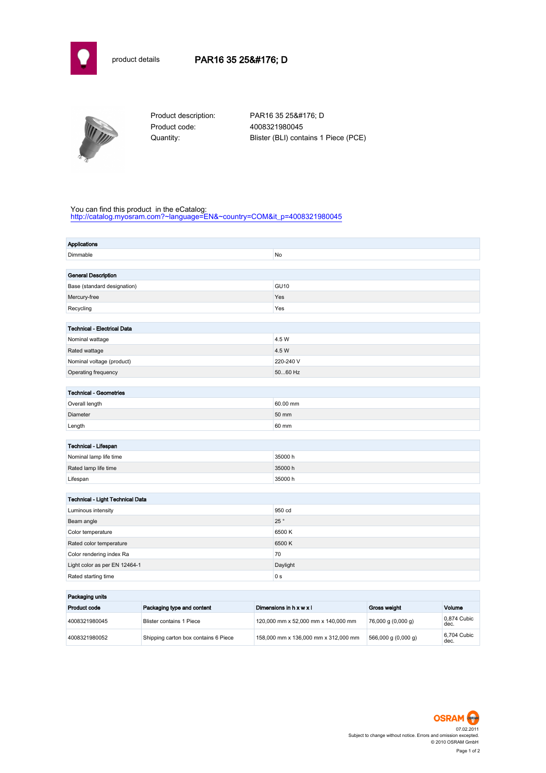



Product code: 4008321980045

Product description: PAR16 35 25° D Quantity: Blister (BLI) contains 1 Piece (PCE)

## You can find this product in the eCatalog:

[http://catalog.myosram.com?~language=EN&~country=COM&it\\_p=4008321980045](http://catalog.myosram.com?~language=EN&~country=COM&it_p=4008321980045)

| <b>Applications</b>                |                |
|------------------------------------|----------------|
| Dimmable                           | No             |
|                                    |                |
| <b>General Description</b>         |                |
| Base (standard designation)        | <b>GU10</b>    |
| Mercury-free                       | Yes            |
| Recycling                          | Yes            |
|                                    |                |
| <b>Technical - Electrical Data</b> |                |
| Nominal wattage                    | 4.5 W          |
| Rated wattage                      | 4.5 W          |
| Nominal voltage (product)          | 220-240 V      |
| Operating frequency                | 5060 Hz        |
|                                    |                |
| <b>Technical - Geometries</b>      |                |
| Overall length                     | 60.00 mm       |
| Diameter                           | 50 mm          |
| Length                             | 60 mm          |
|                                    |                |
| Technical - Lifespan               |                |
| Nominal lamp life time             | 35000 h        |
| Rated lamp life time               | 35000h         |
| Lifespan                           | 35000 h        |
|                                    |                |
| Technical - Light Technical Data   |                |
| Luminous intensity                 | 950 cd         |
| Beam angle                         | 25°            |
| Color temperature                  | 6500K          |
| Rated color temperature            | 6500K          |
| Color rendering index Ra           | 70             |
| Light color as per EN 12464-1      | Daylight       |
| Rated starting time                | 0 <sub>s</sub> |
| الأسداد والمرابط والمرابط          |                |

| Packaging units |                                      |                                      |                                       |                     |  |
|-----------------|--------------------------------------|--------------------------------------|---------------------------------------|---------------------|--|
| Product code    | Packaging type and content           | Dimensions in h x w x l              | <b>Gross weight</b>                   | Volume              |  |
| 4008321980045   | Blister contains 1 Piece             | 120,000 mm x 52,000 mm x 140,000 mm  | 76,000 g (0,000 g)                    | 0.874 Cubic<br>dec. |  |
| 4008321980052   | Shipping carton box contains 6 Piece | 158,000 mm x 136,000 mm x 312,000 mm | $566,000 \text{ g} (0,000 \text{ g})$ | 6.704 Cubic<br>dec. |  |